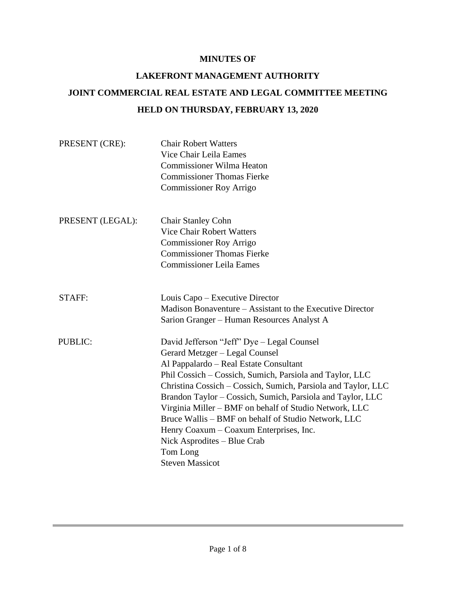# **MINUTES OF**

# **LAKEFRONT MANAGEMENT AUTHORITY JOINT COMMERCIAL REAL ESTATE AND LEGAL COMMITTEE MEETING HELD ON THURSDAY, FEBRUARY 13, 2020**

| PRESENT (CRE):   | <b>Chair Robert Watters</b><br>Vice Chair Leila Eames<br><b>Commissioner Wilma Heaton</b><br><b>Commissioner Thomas Fierke</b><br><b>Commissioner Roy Arrigo</b>                                                                                                                                                                                                                                                                                                                                                                                   |
|------------------|----------------------------------------------------------------------------------------------------------------------------------------------------------------------------------------------------------------------------------------------------------------------------------------------------------------------------------------------------------------------------------------------------------------------------------------------------------------------------------------------------------------------------------------------------|
| PRESENT (LEGAL): | <b>Chair Stanley Cohn</b><br><b>Vice Chair Robert Watters</b><br><b>Commissioner Roy Arrigo</b><br><b>Commissioner Thomas Fierke</b><br><b>Commissioner Leila Eames</b>                                                                                                                                                                                                                                                                                                                                                                            |
| <b>STAFF:</b>    | Louis Capo – Executive Director<br>Madison Bonaventure – Assistant to the Executive Director<br>Sarion Granger - Human Resources Analyst A                                                                                                                                                                                                                                                                                                                                                                                                         |
| <b>PUBLIC:</b>   | David Jefferson "Jeff" Dye - Legal Counsel<br>Gerard Metzger - Legal Counsel<br>Al Pappalardo – Real Estate Consultant<br>Phil Cossich - Cossich, Sumich, Parsiola and Taylor, LLC<br>Christina Cossich - Cossich, Sumich, Parsiola and Taylor, LLC<br>Brandon Taylor - Cossich, Sumich, Parsiola and Taylor, LLC<br>Virginia Miller - BMF on behalf of Studio Network, LLC<br>Bruce Wallis – BMF on behalf of Studio Network, LLC<br>Henry Coaxum – Coaxum Enterprises, Inc.<br>Nick Asprodites – Blue Crab<br>Tom Long<br><b>Steven Massicot</b> |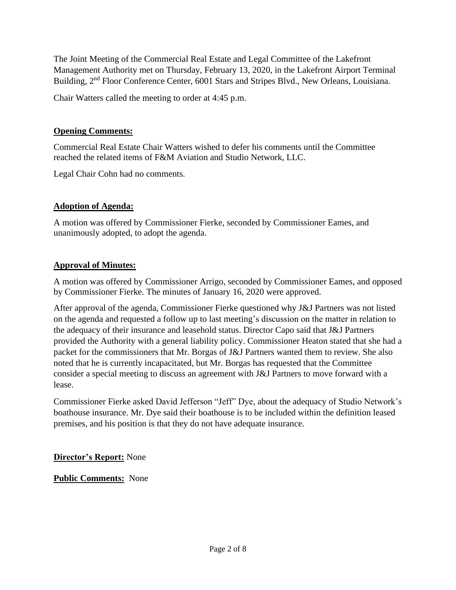The Joint Meeting of the Commercial Real Estate and Legal Committee of the Lakefront Management Authority met on Thursday, February 13, 2020, in the Lakefront Airport Terminal Building, 2<sup>nd</sup> Floor Conference Center, 6001 Stars and Stripes Blvd., New Orleans, Louisiana.

Chair Watters called the meeting to order at 4:45 p.m.

#### **Opening Comments:**

Commercial Real Estate Chair Watters wished to defer his comments until the Committee reached the related items of F&M Aviation and Studio Network, LLC.

Legal Chair Cohn had no comments.

# **Adoption of Agenda:**

A motion was offered by Commissioner Fierke, seconded by Commissioner Eames, and unanimously adopted, to adopt the agenda.

# **Approval of Minutes:**

A motion was offered by Commissioner Arrigo, seconded by Commissioner Eames, and opposed by Commissioner Fierke. The minutes of January 16, 2020 were approved.

After approval of the agenda, Commissioner Fierke questioned why J&J Partners was not listed on the agenda and requested a follow up to last meeting's discussion on the matter in relation to the adequacy of their insurance and leasehold status. Director Capo said that J&J Partners provided the Authority with a general liability policy. Commissioner Heaton stated that she had a packet for the commissioners that Mr. Borgas of J&J Partners wanted them to review. She also noted that he is currently incapacitated, but Mr. Borgas has requested that the Committee consider a special meeting to discuss an agreement with J&J Partners to move forward with a lease.

Commissioner Fierke asked David Jefferson "Jeff" Dye, about the adequacy of Studio Network's boathouse insurance. Mr. Dye said their boathouse is to be included within the definition leased premises, and his position is that they do not have adequate insurance.

**Director's Report:** None

**Public Comments:** None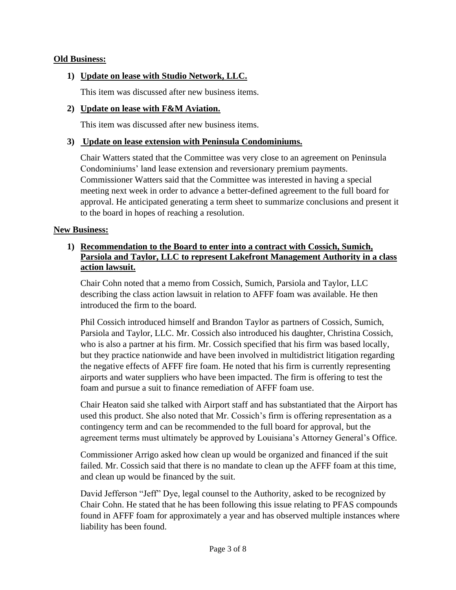#### **Old Business:**

# **1) Update on lease with Studio Network, LLC.**

This item was discussed after new business items.

#### **2) Update on lease with F&M Aviation.**

This item was discussed after new business items.

#### **3) Update on lease extension with Peninsula Condominiums.**

Chair Watters stated that the Committee was very close to an agreement on Peninsula Condominiums' land lease extension and reversionary premium payments. Commissioner Watters said that the Committee was interested in having a special meeting next week in order to advance a better-defined agreement to the full board for approval. He anticipated generating a term sheet to summarize conclusions and present it to the board in hopes of reaching a resolution.

#### **New Business:**

# **1) Recommendation to the Board to enter into a contract with Cossich, Sumich, Parsiola and Taylor, LLC to represent Lakefront Management Authority in a class action lawsuit.**

Chair Cohn noted that a memo from Cossich, Sumich, Parsiola and Taylor, LLC describing the class action lawsuit in relation to AFFF foam was available. He then introduced the firm to the board.

Phil Cossich introduced himself and Brandon Taylor as partners of Cossich, Sumich, Parsiola and Taylor, LLC. Mr. Cossich also introduced his daughter, Christina Cossich, who is also a partner at his firm. Mr. Cossich specified that his firm was based locally, but they practice nationwide and have been involved in multidistrict litigation regarding the negative effects of AFFF fire foam. He noted that his firm is currently representing airports and water suppliers who have been impacted. The firm is offering to test the foam and pursue a suit to finance remediation of AFFF foam use.

Chair Heaton said she talked with Airport staff and has substantiated that the Airport has used this product. She also noted that Mr. Cossich's firm is offering representation as a contingency term and can be recommended to the full board for approval, but the agreement terms must ultimately be approved by Louisiana's Attorney General's Office.

Commissioner Arrigo asked how clean up would be organized and financed if the suit failed. Mr. Cossich said that there is no mandate to clean up the AFFF foam at this time, and clean up would be financed by the suit.

David Jefferson "Jeff" Dye, legal counsel to the Authority, asked to be recognized by Chair Cohn. He stated that he has been following this issue relating to PFAS compounds found in AFFF foam for approximately a year and has observed multiple instances where liability has been found.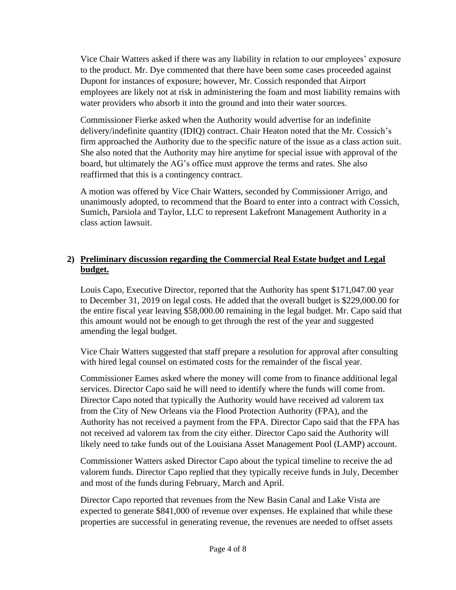Vice Chair Watters asked if there was any liability in relation to our employees' exposure to the product. Mr. Dye commented that there have been some cases proceeded against Dupont for instances of exposure; however, Mr. Cossich responded that Airport employees are likely not at risk in administering the foam and most liability remains with water providers who absorb it into the ground and into their water sources.

Commissioner Fierke asked when the Authority would advertise for an indefinite delivery/indefinite quantity (IDIQ) contract. Chair Heaton noted that the Mr. Cossich's firm approached the Authority due to the specific nature of the issue as a class action suit. She also noted that the Authority may hire anytime for special issue with approval of the board, but ultimately the AG's office must approve the terms and rates. She also reaffirmed that this is a contingency contract.

A motion was offered by Vice Chair Watters, seconded by Commissioner Arrigo, and unanimously adopted, to recommend that the Board to enter into a contract with Cossich, Sumich, Parsiola and Taylor, LLC to represent Lakefront Management Authority in a class action lawsuit.

# **2) Preliminary discussion regarding the Commercial Real Estate budget and Legal budget.**

Louis Capo, Executive Director, reported that the Authority has spent \$171,047.00 year to December 31, 2019 on legal costs. He added that the overall budget is \$229,000.00 for the entire fiscal year leaving \$58,000.00 remaining in the legal budget. Mr. Capo said that this amount would not be enough to get through the rest of the year and suggested amending the legal budget.

Vice Chair Watters suggested that staff prepare a resolution for approval after consulting with hired legal counsel on estimated costs for the remainder of the fiscal year.

Commissioner Eames asked where the money will come from to finance additional legal services. Director Capo said he will need to identify where the funds will come from. Director Capo noted that typically the Authority would have received ad valorem tax from the City of New Orleans via the Flood Protection Authority (FPA), and the Authority has not received a payment from the FPA. Director Capo said that the FPA has not received ad valorem tax from the city either. Director Capo said the Authority will likely need to take funds out of the Louisiana Asset Management Pool (LAMP) account.

Commissioner Watters asked Director Capo about the typical timeline to receive the ad valorem funds. Director Capo replied that they typically receive funds in July, December and most of the funds during February, March and April.

Director Capo reported that revenues from the New Basin Canal and Lake Vista are expected to generate \$841,000 of revenue over expenses. He explained that while these properties are successful in generating revenue, the revenues are needed to offset assets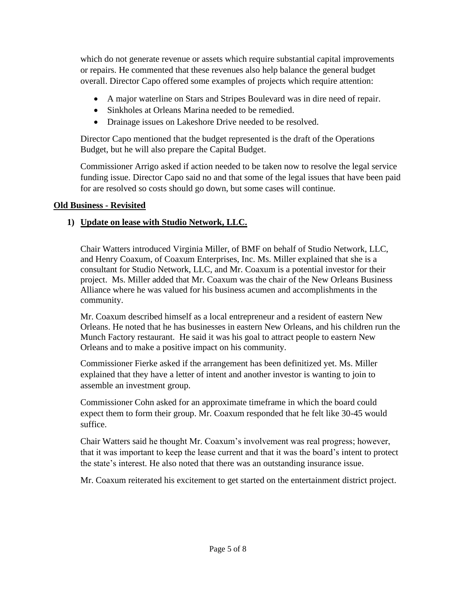which do not generate revenue or assets which require substantial capital improvements or repairs. He commented that these revenues also help balance the general budget overall. Director Capo offered some examples of projects which require attention:

- A major waterline on Stars and Stripes Boulevard was in dire need of repair.
- Sinkholes at Orleans Marina needed to be remedied.
- Drainage issues on Lakeshore Drive needed to be resolved.

Director Capo mentioned that the budget represented is the draft of the Operations Budget, but he will also prepare the Capital Budget.

Commissioner Arrigo asked if action needed to be taken now to resolve the legal service funding issue. Director Capo said no and that some of the legal issues that have been paid for are resolved so costs should go down, but some cases will continue.

# **Old Business - Revisited**

# **1) Update on lease with Studio Network, LLC.**

Chair Watters introduced Virginia Miller, of BMF on behalf of Studio Network, LLC, and Henry Coaxum, of Coaxum Enterprises, Inc. Ms. Miller explained that she is a consultant for Studio Network, LLC, and Mr. Coaxum is a potential investor for their project. Ms. Miller added that Mr. Coaxum was the chair of the New Orleans Business Alliance where he was valued for his business acumen and accomplishments in the community.

Mr. Coaxum described himself as a local entrepreneur and a resident of eastern New Orleans. He noted that he has businesses in eastern New Orleans, and his children run the Munch Factory restaurant. He said it was his goal to attract people to eastern New Orleans and to make a positive impact on his community.

Commissioner Fierke asked if the arrangement has been definitized yet. Ms. Miller explained that they have a letter of intent and another investor is wanting to join to assemble an investment group.

Commissioner Cohn asked for an approximate timeframe in which the board could expect them to form their group. Mr. Coaxum responded that he felt like 30-45 would suffice.

Chair Watters said he thought Mr. Coaxum's involvement was real progress; however, that it was important to keep the lease current and that it was the board's intent to protect the state's interest. He also noted that there was an outstanding insurance issue.

Mr. Coaxum reiterated his excitement to get started on the entertainment district project.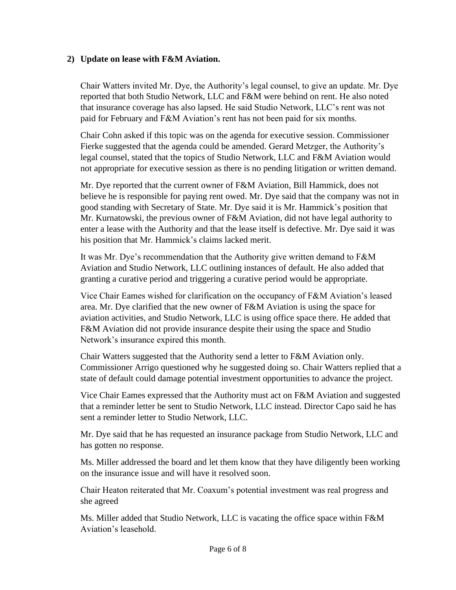# **2) Update on lease with F&M Aviation.**

Chair Watters invited Mr. Dye, the Authority's legal counsel, to give an update. Mr. Dye reported that both Studio Network, LLC and F&M were behind on rent. He also noted that insurance coverage has also lapsed. He said Studio Network, LLC's rent was not paid for February and F&M Aviation's rent has not been paid for six months.

Chair Cohn asked if this topic was on the agenda for executive session. Commissioner Fierke suggested that the agenda could be amended. Gerard Metzger, the Authority's legal counsel, stated that the topics of Studio Network, LLC and F&M Aviation would not appropriate for executive session as there is no pending litigation or written demand.

Mr. Dye reported that the current owner of F&M Aviation, Bill Hammick, does not believe he is responsible for paying rent owed. Mr. Dye said that the company was not in good standing with Secretary of State. Mr. Dye said it is Mr. Hammick's position that Mr. Kurnatowski, the previous owner of F&M Aviation, did not have legal authority to enter a lease with the Authority and that the lease itself is defective. Mr. Dye said it was his position that Mr. Hammick's claims lacked merit.

It was Mr. Dye's recommendation that the Authority give written demand to F&M Aviation and Studio Network, LLC outlining instances of default. He also added that granting a curative period and triggering a curative period would be appropriate.

Vice Chair Eames wished for clarification on the occupancy of F&M Aviation's leased area. Mr. Dye clarified that the new owner of F&M Aviation is using the space for aviation activities, and Studio Network, LLC is using office space there. He added that F&M Aviation did not provide insurance despite their using the space and Studio Network's insurance expired this month.

Chair Watters suggested that the Authority send a letter to F&M Aviation only. Commissioner Arrigo questioned why he suggested doing so. Chair Watters replied that a state of default could damage potential investment opportunities to advance the project.

Vice Chair Eames expressed that the Authority must act on F&M Aviation and suggested that a reminder letter be sent to Studio Network, LLC instead. Director Capo said he has sent a reminder letter to Studio Network, LLC.

Mr. Dye said that he has requested an insurance package from Studio Network, LLC and has gotten no response.

Ms. Miller addressed the board and let them know that they have diligently been working on the insurance issue and will have it resolved soon.

Chair Heaton reiterated that Mr. Coaxum's potential investment was real progress and she agreed

Ms. Miller added that Studio Network, LLC is vacating the office space within F&M Aviation's leasehold.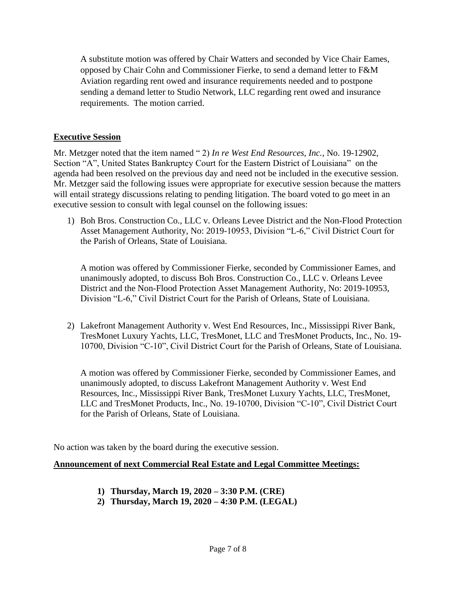A substitute motion was offered by Chair Watters and seconded by Vice Chair Eames, opposed by Chair Cohn and Commissioner Fierke, to send a demand letter to F&M Aviation regarding rent owed and insurance requirements needed and to postpone sending a demand letter to Studio Network, LLC regarding rent owed and insurance requirements. The motion carried.

# **Executive Session**

Mr. Metzger noted that the item named " 2) *In re West End Resources, Inc.*, No. 19-12902, Section "A", United States Bankruptcy Court for the Eastern District of Louisiana" on the agenda had been resolved on the previous day and need not be included in the executive session. Mr. Metzger said the following issues were appropriate for executive session because the matters will entail strategy discussions relating to pending litigation. The board voted to go meet in an executive session to consult with legal counsel on the following issues:

1) Boh Bros. Construction Co., LLC v. Orleans Levee District and the Non-Flood Protection Asset Management Authority, No: 2019-10953, Division "L-6," Civil District Court for the Parish of Orleans, State of Louisiana.

A motion was offered by Commissioner Fierke, seconded by Commissioner Eames, and unanimously adopted, to discuss Boh Bros. Construction Co., LLC v. Orleans Levee District and the Non-Flood Protection Asset Management Authority, No: 2019-10953, Division "L-6," Civil District Court for the Parish of Orleans, State of Louisiana.

2) Lakefront Management Authority v. West End Resources, Inc., Mississippi River Bank, TresMonet Luxury Yachts, LLC, TresMonet, LLC and TresMonet Products, Inc., No. 19- 10700, Division "C-10", Civil District Court for the Parish of Orleans, State of Louisiana.

A motion was offered by Commissioner Fierke, seconded by Commissioner Eames, and unanimously adopted, to discuss Lakefront Management Authority v. West End Resources, Inc., Mississippi River Bank, TresMonet Luxury Yachts, LLC, TresMonet, LLC and TresMonet Products, Inc., No. 19-10700, Division "C-10", Civil District Court for the Parish of Orleans, State of Louisiana.

No action was taken by the board during the executive session.

#### **Announcement of next Commercial Real Estate and Legal Committee Meetings:**

- **1) Thursday, March 19, 2020 – 3:30 P.M. (CRE)**
- **2) Thursday, March 19, 2020 – 4:30 P.M. (LEGAL)**